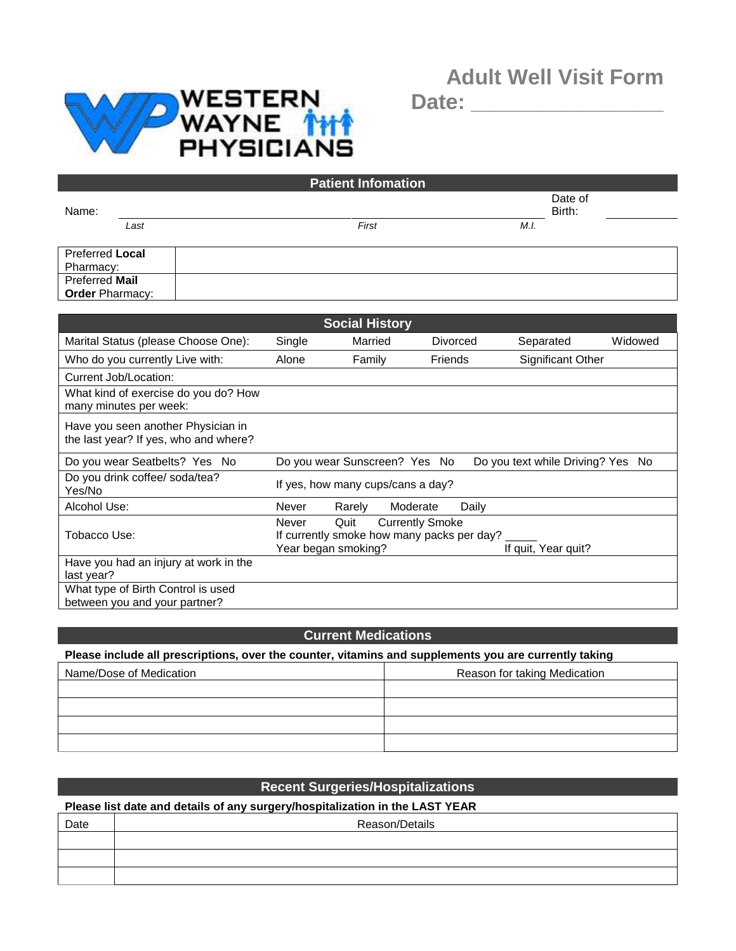## **Adult Well Visit Form**



**Date: \_\_\_\_\_\_\_\_\_\_\_\_\_\_\_\_**

|                        |      | <b>Patient Infomation</b> |                   |
|------------------------|------|---------------------------|-------------------|
| Name:                  |      |                           | Date of<br>Birth: |
|                        | Last | First<br>M.I.             |                   |
| <b>Preferred Local</b> |      |                           |                   |
| Pharmacy:              |      |                           |                   |
| Preferred Mail         |      |                           |                   |
| <b>Order Pharmacy:</b> |      |                           |                   |
|                        |      |                           |                   |

|                                                                             |        | <b>Social History</b>       |                                                                      |                 |                                   |         |
|-----------------------------------------------------------------------------|--------|-----------------------------|----------------------------------------------------------------------|-----------------|-----------------------------------|---------|
| Marital Status (please Choose One):                                         | Single | Married                     |                                                                      | <b>Divorced</b> | Separated                         | Widowed |
| Who do you currently Live with:                                             | Alone  | Family                      | Friends                                                              |                 | <b>Significant Other</b>          |         |
| Current Job/Location:                                                       |        |                             |                                                                      |                 |                                   |         |
| What kind of exercise do you do? How<br>many minutes per week:              |        |                             |                                                                      |                 |                                   |         |
| Have you seen another Physician in<br>the last year? If yes, who and where? |        |                             |                                                                      |                 |                                   |         |
| Do you wear Seatbelts? Yes No                                               |        |                             | Do you wear Sunscreen? Yes No                                        |                 | Do you text while Driving? Yes No |         |
| Do you drink coffee/ soda/tea?<br>Yes/No                                    |        |                             | If yes, how many cups/cans a day?                                    |                 |                                   |         |
| Alcohol Use:                                                                | Never  | Rarely                      | Moderate                                                             | Daily           |                                   |         |
| Tobacco Use:                                                                | Never  | Quit<br>Year began smoking? | <b>Currently Smoke</b><br>If currently smoke how many packs per day? |                 | If quit, Year quit?               |         |
| Have you had an injury at work in the<br>last year?                         |        |                             |                                                                      |                 |                                   |         |
| What type of Birth Control is used<br>between you and your partner?         |        |                             |                                                                      |                 |                                   |         |

## **Current Medications**

**Please include all prescriptions, over the counter, vitamins and supplements you are currently taking**

| Name/Dose of Medication | Reason for taking Medication |
|-------------------------|------------------------------|
|                         |                              |
|                         |                              |
|                         |                              |
|                         |                              |

|                                                                              | <b>Recent Surgeries/Hospitalizations</b> |  |  |  |  |
|------------------------------------------------------------------------------|------------------------------------------|--|--|--|--|
| Please list date and details of any surgery/hospitalization in the LAST YEAR |                                          |  |  |  |  |
| Date                                                                         | Reason/Details                           |  |  |  |  |
|                                                                              |                                          |  |  |  |  |
|                                                                              |                                          |  |  |  |  |
|                                                                              |                                          |  |  |  |  |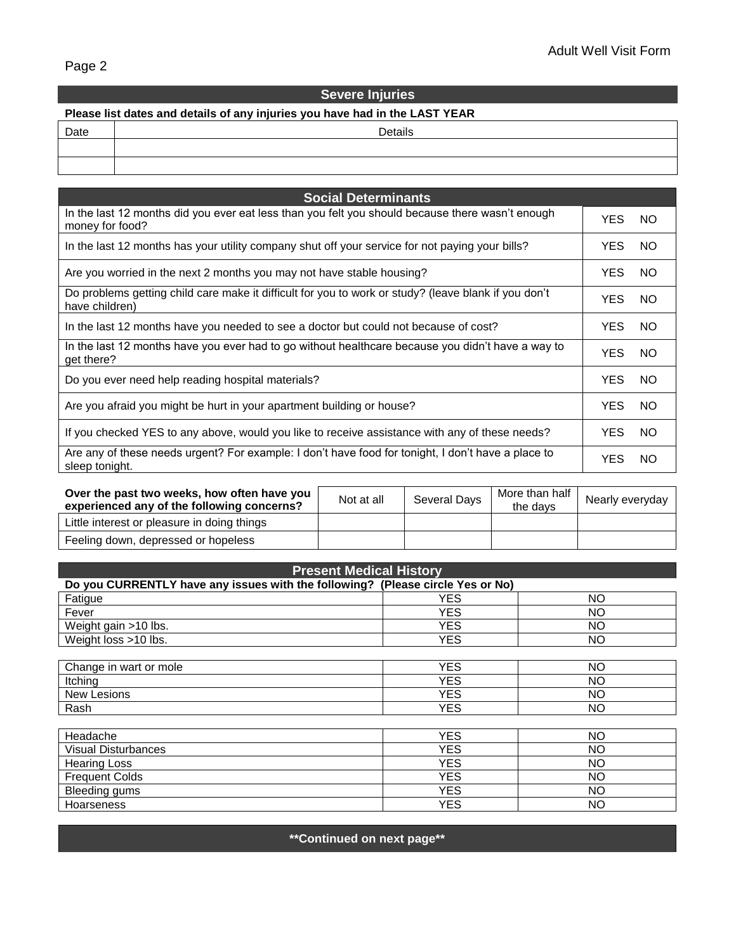## **Severe Injuries Please list dates and details of any injuries you have had in the LAST YEAR** Date Date Details

| <b>Social Determinants</b>                                                                                             |            |     |
|------------------------------------------------------------------------------------------------------------------------|------------|-----|
| In the last 12 months did you ever eat less than you felt you should because there wasn't enough<br>money for food?    | YES.       | NO. |
| In the last 12 months has your utility company shut off your service for not paying your bills?                        | YES.       | NO. |
| Are you worried in the next 2 months you may not have stable housing?                                                  | YES.       | NO. |
| Do problems getting child care make it difficult for you to work or study? (leave blank if you don't<br>have children) | <b>YES</b> | NO. |
| In the last 12 months have you needed to see a doctor but could not because of cost?                                   | YES.       | NO. |
| In the last 12 months have you ever had to go without healthcare because you didn't have a way to<br>get there?        | <b>YES</b> | NO. |
| Do you ever need help reading hospital materials?                                                                      | YES.       | NO. |
| Are you afraid you might be hurt in your apartment building or house?                                                  | YES.       | NO. |
| If you checked YES to any above, would you like to receive assistance with any of these needs?                         | YES.       | NO. |
| Are any of these needs urgent? For example: I don't have food for tonight, I don't have a place to<br>sleep tonight.   | <b>YES</b> | NO. |

| Over the past two weeks, how often have you<br>experienced any of the following concerns? | Not at all | Several Days | More than half<br>the davs | Nearly everyday |
|-------------------------------------------------------------------------------------------|------------|--------------|----------------------------|-----------------|
| Little interest or pleasure in doing things                                               |            |              |                            |                 |
| Feeling down, depressed or hopeless                                                       |            |              |                            |                 |

| <b>Present Medical History</b>                                                 |            |    |  |
|--------------------------------------------------------------------------------|------------|----|--|
| Do you CURRENTLY have any issues with the following? (Please circle Yes or No) |            |    |  |
| Fatigue                                                                        | <b>YES</b> | NO |  |
| Fever                                                                          | <b>YES</b> | NO |  |
| Weight gain >10 lbs.                                                           | <b>YES</b> | NO |  |
| Weight loss >10 lbs.                                                           | <b>YES</b> | NO |  |
|                                                                                |            |    |  |
| Change in wart or mole                                                         | <b>YES</b> | NO |  |
| Itching                                                                        | <b>YES</b> | NO |  |
| New Lesions                                                                    | <b>YES</b> | NO |  |
| Rash                                                                           | <b>YES</b> | NO |  |
|                                                                                |            |    |  |
| Headache                                                                       | <b>YES</b> | NO |  |
| <b>Visual Disturbances</b>                                                     | <b>YES</b> | NO |  |
| <b>Hearing Loss</b>                                                            | <b>YES</b> | NO |  |
| <b>Frequent Colds</b>                                                          | <b>YES</b> | NO |  |
| Bleeding gums                                                                  | <b>YES</b> | NO |  |
| Hoarseness                                                                     | <b>YES</b> | NO |  |

**\*\*Continued on next page\*\***